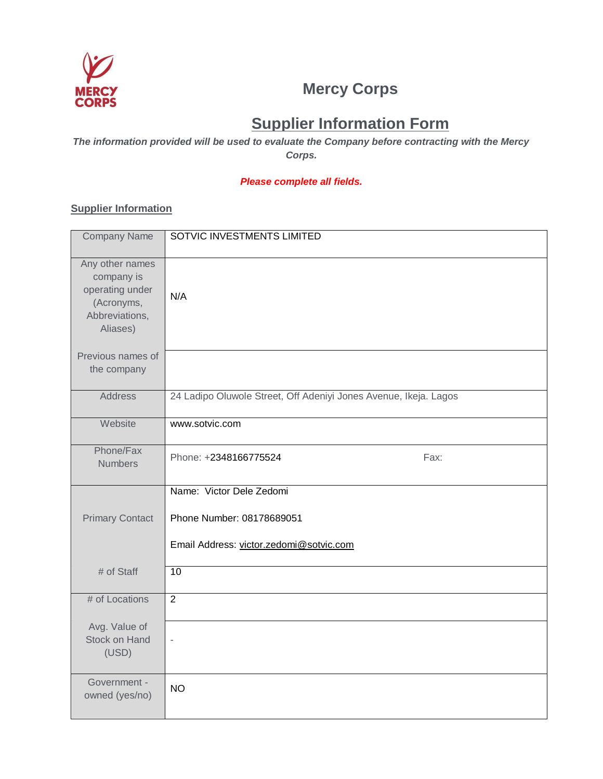

## **Mercy Corps**

# **Supplier Information Form**

*The information provided will be used to evaluate the Company before contracting with the Mercy Corps.*

#### *Please complete all fields.*

#### **Supplier Information**

| <b>Company Name</b>                                                                          | SOTVIC INVESTMENTS LIMITED                                                                       |  |
|----------------------------------------------------------------------------------------------|--------------------------------------------------------------------------------------------------|--|
| Any other names<br>company is<br>operating under<br>(Acronyms,<br>Abbreviations,<br>Aliases) | N/A                                                                                              |  |
| Previous names of<br>the company                                                             |                                                                                                  |  |
| <b>Address</b>                                                                               | 24 Ladipo Oluwole Street, Off Adeniyi Jones Avenue, Ikeja. Lagos                                 |  |
| Website                                                                                      | www.sotvic.com                                                                                   |  |
| Phone/Fax<br><b>Numbers</b>                                                                  | Phone: +2348166775524<br>Fax:                                                                    |  |
| <b>Primary Contact</b>                                                                       | Name: Victor Dele Zedomi<br>Phone Number: 08178689051<br>Email Address: victor.zedomi@sotvic.com |  |
| # of Staff                                                                                   | $\overline{10}$                                                                                  |  |
| # of Locations                                                                               | $\overline{2}$                                                                                   |  |
| Avg. Value of<br><b>Stock on Hand</b><br>(USD)                                               | ä,                                                                                               |  |
| Government -<br>owned (yes/no)                                                               | <b>NO</b>                                                                                        |  |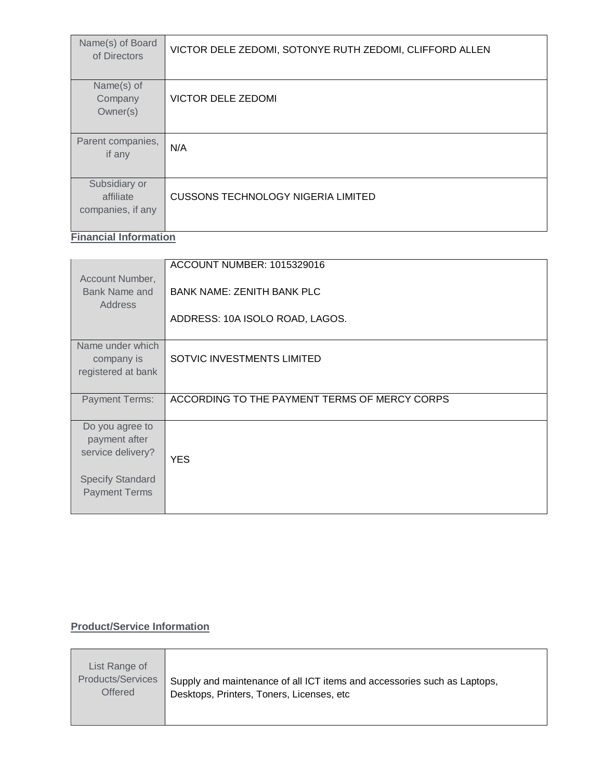| Name(s) of Board<br>of Directors | VICTOR DELE ZEDOMI, SOTONYE RUTH ZEDOMI, CLIFFORD ALLEN |
|----------------------------------|---------------------------------------------------------|
| Name(s) of                       |                                                         |
| Company                          | <b>VICTOR DELE ZEDOMI</b>                               |
| Owner(s)                         |                                                         |
| Parent companies,                | N/A                                                     |
| if any                           |                                                         |
|                                  |                                                         |
| Subsidiary or                    |                                                         |
| affiliate                        | <b>CUSSONS TECHNOLOGY NIGERIA LIMITED</b>               |
| companies, if any                |                                                         |
|                                  |                                                         |

**Financial Information**

|                         | ACCOUNT NUMBER: 1015329016                    |  |
|-------------------------|-----------------------------------------------|--|
| Account Number,         |                                               |  |
|                         |                                               |  |
| Bank Name and           | <b>BANK NAME: ZENITH BANK PLC</b>             |  |
| <b>Address</b>          |                                               |  |
|                         |                                               |  |
|                         | ADDRESS: 10A ISOLO ROAD, LAGOS.               |  |
|                         |                                               |  |
|                         |                                               |  |
| Name under which        |                                               |  |
| company is              | SOTVIC INVESTMENTS LIMITED                    |  |
| registered at bank      |                                               |  |
|                         |                                               |  |
|                         |                                               |  |
| <b>Payment Terms:</b>   | ACCORDING TO THE PAYMENT TERMS OF MERCY CORPS |  |
|                         |                                               |  |
|                         |                                               |  |
| Do you agree to         |                                               |  |
| payment after           |                                               |  |
|                         |                                               |  |
| service delivery?       | <b>YES</b>                                    |  |
|                         |                                               |  |
|                         |                                               |  |
| <b>Specify Standard</b> |                                               |  |
| <b>Payment Terms</b>    |                                               |  |
|                         |                                               |  |
|                         |                                               |  |

### **Product/Service Information**

| List Range of<br><b>Products/Services</b><br><b>Offered</b> | Supply and maintenance of all ICT items and accessories such as Laptops,<br>Desktops, Printers, Toners, Licenses, etc. |
|-------------------------------------------------------------|------------------------------------------------------------------------------------------------------------------------|
|-------------------------------------------------------------|------------------------------------------------------------------------------------------------------------------------|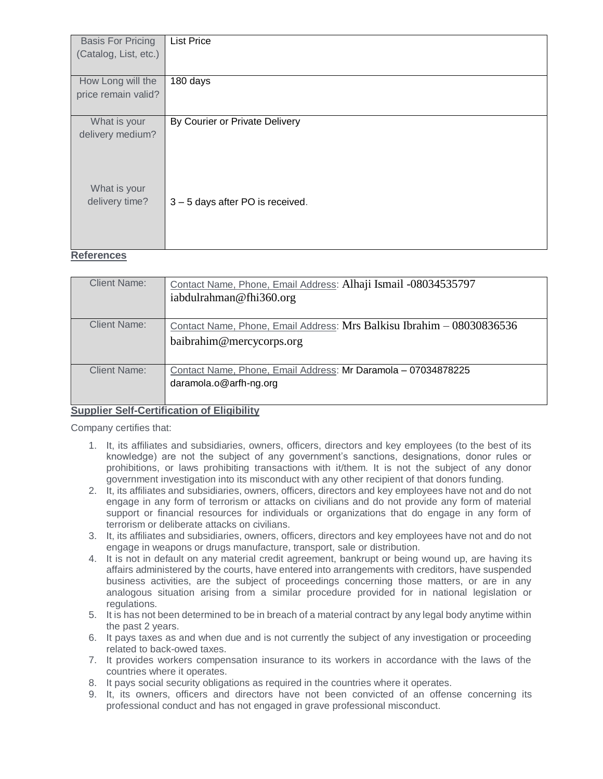| <b>Basis For Pricing</b>       | <b>List Price</b>              |
|--------------------------------|--------------------------------|
| (Catalog, List, etc.)          |                                |
|                                |                                |
| How Long will the              | 180 days                       |
| price remain valid?            |                                |
|                                |                                |
| What is your                   | By Courier or Private Delivery |
| delivery medium?               |                                |
| What is your<br>delivery time? | 3-5 days after PO is received. |

#### **References**

| <b>Client Name:</b> | Contact Name, Phone, Email Address: Alhaji Ismail -08034535797<br>iabdulrahman@fhi360.org         |
|---------------------|---------------------------------------------------------------------------------------------------|
| <b>Client Name:</b> | Contact Name, Phone, Email Address: Mrs Balkisu Ibrahim - 08030836536<br>baibrahim@mercycorps.org |
| <b>Client Name:</b> | Contact Name, Phone, Email Address: Mr Daramola - 07034878225<br>daramola.o@arfh-ng.org           |

#### **Supplier Self-Certification of Eligibility**

Company certifies that:

- 1. It, its affiliates and subsidiaries, owners, officers, directors and key employees (to the best of its knowledge) are not the subject of any government's sanctions, designations, donor rules or prohibitions, or laws prohibiting transactions with it/them. It is not the subject of any donor government investigation into its misconduct with any other recipient of that donors funding.
- 2. It, its affiliates and subsidiaries, owners, officers, directors and key employees have not and do not engage in any form of terrorism or attacks on civilians and do not provide any form of material support or financial resources for individuals or organizations that do engage in any form of terrorism or deliberate attacks on civilians.
- 3. It, its affiliates and subsidiaries, owners, officers, directors and key employees have not and do not engage in weapons or drugs manufacture, transport, sale or distribution.
- 4. It is not in default on any material credit agreement, bankrupt or being wound up, are having its affairs administered by the courts, have entered into arrangements with creditors, have suspended business activities, are the subject of proceedings concerning those matters, or are in any analogous situation arising from a similar procedure provided for in national legislation or regulations.
- 5. It is has not been determined to be in breach of a material contract by any legal body anytime within the past 2 years.
- 6. It pays taxes as and when due and is not currently the subject of any investigation or proceeding related to back-owed taxes.
- 7. It provides workers compensation insurance to its workers in accordance with the laws of the countries where it operates.
- 8. It pays social security obligations as required in the countries where it operates.
- 9. It, its owners, officers and directors have not been convicted of an offense concerning its professional conduct and has not engaged in grave professional misconduct.